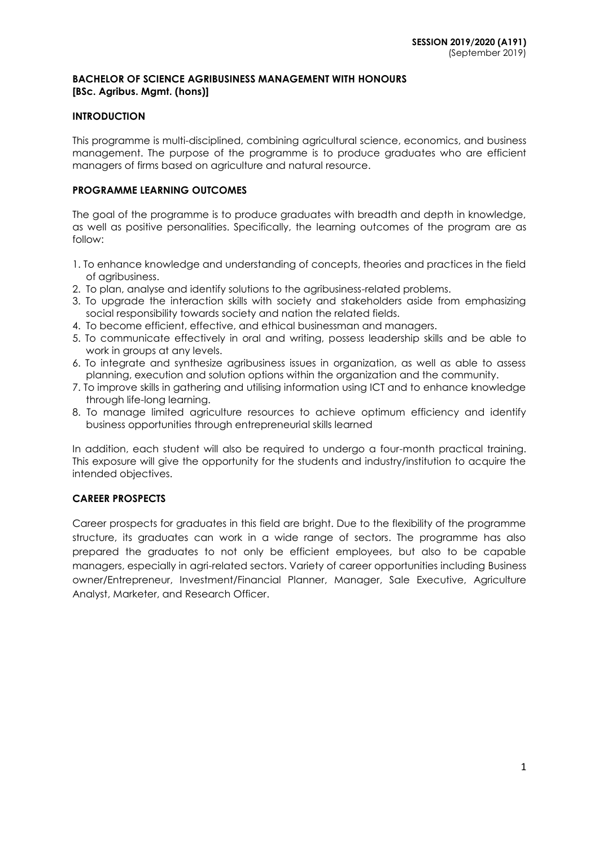#### **BACHELOR OF SCIENCE AGRIBUSINESS MANAGEMENT WITH HONOURS [BSc. Agribus. Mgmt. (hons)]**

## **INTRODUCTION**

This programme is multi-disciplined, combining agricultural science, economics, and business management. The purpose of the programme is to produce graduates who are efficient managers of firms based on agriculture and natural resource.

## **PROGRAMME LEARNING OUTCOMES**

The goal of the programme is to produce graduates with breadth and depth in knowledge, as well as positive personalities. Specifically, the learning outcomes of the program are as follow:

- 1. To enhance knowledge and understanding of concepts, theories and practices in the field of agribusiness.
- 2. To plan, analyse and identify solutions to the agribusiness-related problems.
- 3. To upgrade the interaction skills with society and stakeholders aside from emphasizing social responsibility towards society and nation the related fields.
- 4. To become efficient, effective, and ethical businessman and managers.
- 5. To communicate effectively in oral and writing, possess leadership skills and be able to work in groups at any levels.
- 6. To integrate and synthesize agribusiness issues in organization, as well as able to assess planning, execution and solution options within the organization and the community.
- 7. To improve skills in gathering and utilising information using ICT and to enhance knowledge through life-long learning.
- 8. To manage limited agriculture resources to achieve optimum efficiency and identify business opportunities through entrepreneurial skills learned

In addition, each student will also be required to undergo a four-month practical training. This exposure will give the opportunity for the students and industry/institution to acquire the intended objectives.

## **CAREER PROSPECTS**

Career prospects for graduates in this field are bright. Due to the flexibility of the programme structure, its graduates can work in a wide range of sectors. The programme has also prepared the graduates to not only be efficient employees, but also to be capable managers, especially in agri-related sectors. Variety of career opportunities including Business owner/Entrepreneur, Investment/Financial Planner, Manager, Sale Executive, Agriculture Analyst, Marketer, and Research Officer.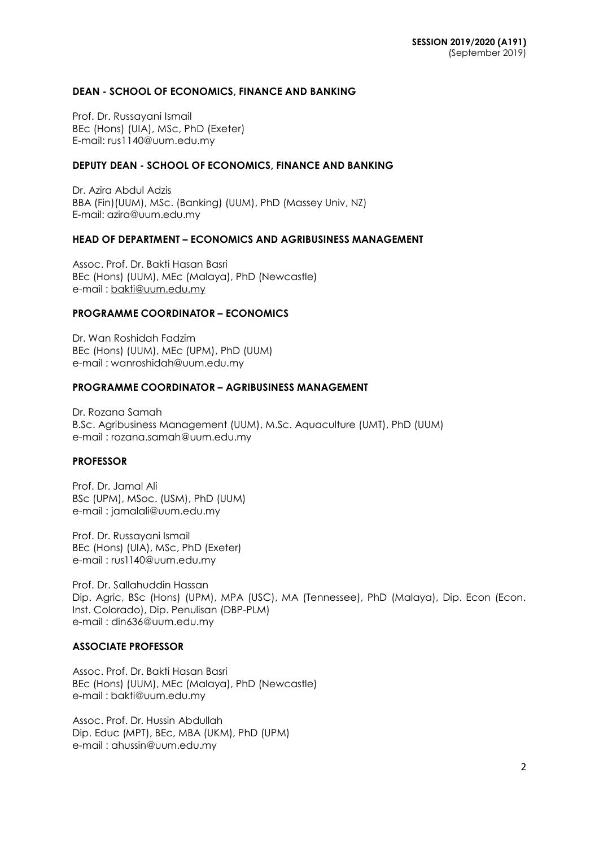#### **DEAN - SCHOOL OF ECONOMICS, FINANCE AND BANKING**

Prof. Dr. Russayani Ismail BEc (Hons) (UIA), MSc, PhD (Exeter) E-mail: rus1140@uum.edu.my

#### **DEPUTY DEAN - SCHOOL OF ECONOMICS, FINANCE AND BANKING**

Dr. Azira Abdul Adzis BBA (Fin)(UUM), MSc. (Banking) (UUM), PhD (Massey Univ, NZ) E-mail: azira@uum.edu.my

## **HEAD OF DEPARTMENT – ECONOMICS AND AGRIBUSINESS MANAGEMENT**

Assoc. Prof. Dr. Bakti Hasan Basri BEc (Hons) (UUM), MEc (Malaya), PhD (Newcastle) e-mail : [bakti@uum.edu.my](mailto:bakti@uum.edu.my)

#### **PROGRAMME COORDINATOR – ECONOMICS**

Dr. Wan Roshidah Fadzim BEc (Hons) (UUM), MEc (UPM), PhD (UUM) e-mail : [wanroshidah@uum.edu.my](mailto:wanroshidah@uum.edu.my)

#### **PROGRAMME COORDINATOR – AGRIBUSINESS MANAGEMENT**

Dr. Rozana Samah B.Sc. Agribusiness Management (UUM), M.Sc. Aquaculture (UMT), PhD (UUM) e-mail : [rozana.samah@uum.edu.my](mailto:rozana.samah@uum.edu.my)

#### **PROFESSOR**

Prof. Dr. Jamal Ali BSc (UPM), MSoc. (USM), PhD (UUM) e-mail : [jamalali@uum.edu.my](mailto:jamalali@uum.edu.my)

Prof. Dr. Russayani Ismail BEc (Hons) (UIA), MSc, PhD (Exeter) e-mail : [rus1140@uum.edu.my](mailto:rus1140@uum.edu.my)

Prof. Dr. Sallahuddin Hassan Dip. Agric, BSc (Hons) (UPM), MPA (USC), MA (Tennessee), PhD (Malaya), Dip. Econ (Econ. Inst. Colorado), Dip. Penulisan (DBP-PLM) e-mail : [din636@uum.edu.my](mailto:din636@uum.edu.my)

## **ASSOCIATE PROFESSOR**

Assoc. Prof. Dr. Bakti Hasan Basri BEc (Hons) (UUM), MEc (Malaya), PhD (Newcastle) e-mail : [bakti@uum.edu.my](mailto:bakti@uum.edu.my)

Assoc. Prof. Dr. Hussin Abdullah Dip. Educ (MPT), BEc, MBA (UKM), PhD (UPM) e-mail : [ahussin@uum.edu.my](mailto:ahussin@uum.edu.my)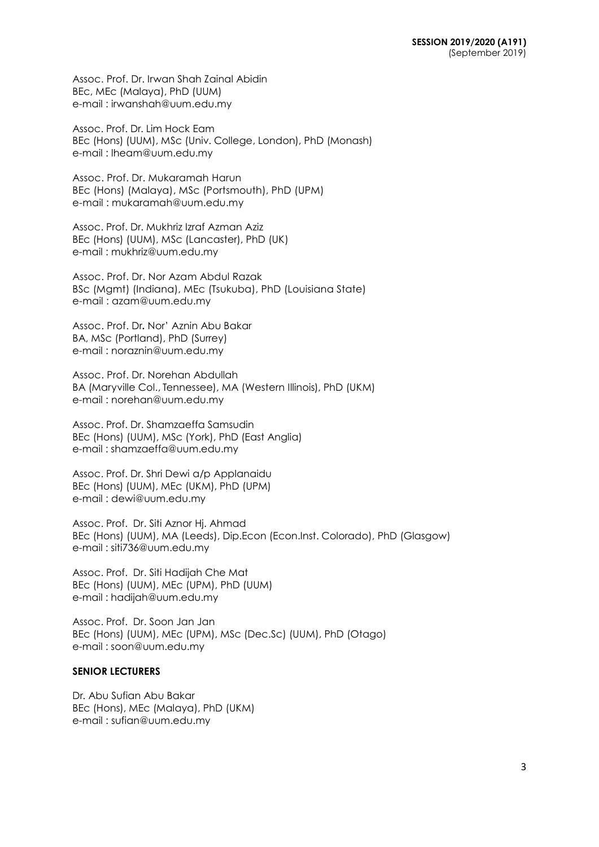Assoc. Prof. Dr. Irwan Shah Zainal Abidin BEc, MEc (Malaya), PhD (UUM) e-mail : [irwanshah@uum.edu.my](mailto:irwanshah@uum.edu.my)

Assoc. Prof. Dr. Lim Hock Eam BEc (Hons) (UUM), MSc (Univ. College, London), PhD (Monash) e-mail : [lheam@uum.edu.my](mailto:lheam@uum.edu.my)

Assoc. Prof. Dr. Mukaramah Harun BEc (Hons) (Malaya), MSc (Portsmouth), PhD (UPM) e-mail : mukaramah@uum.edu.my

Assoc. Prof. Dr. Mukhriz Izraf Azman Aziz BEc (Hons) (UUM), MSc (Lancaster), PhD (UK) e-mail : [mukhriz@uum.edu.my](mailto:mukhriz@uum.edu.my)

Assoc. Prof. Dr. Nor Azam Abdul Razak BSc (Mgmt) (Indiana), MEc (Tsukuba), PhD (Louisiana State) e-mail : [azam@uum.edu.my](mailto:azam@uum.edu.my)

Assoc. Prof. Dr**.** Nor' Aznin Abu Bakar BA, MSc (Portland), PhD (Surrey) e-mail : [noraznin@uum.edu.my](mailto:noraznin@uum.edu.my)

Assoc. Prof. Dr. Norehan Abdullah BA (Maryville Col., Tennessee), MA (Western Illinois), PhD (UKM) e-mail : [norehan@uum.edu.my](mailto:norehan@uum.edu.my)

Assoc. Prof. Dr. Shamzaeffa Samsudin BEc (Hons) (UUM), MSc (York), PhD (East Anglia) e-mail : shamzaeffa@uum.edu.my

Assoc. Prof. Dr. Shri Dewi a/p Applanaidu BEc (Hons) (UUM), MEc (UKM), PhD (UPM) e-mail : [dewi@uum.edu.my](mailto:dewi@uum.edu.my)

Assoc. Prof. Dr. Siti Aznor Hj. Ahmad BEc (Hons) (UUM), MA (Leeds), Dip.Econ (Econ.Inst. Colorado), PhD (Glasgow) e-mail : siti736@uum.edu.my

Assoc. Prof. Dr. Siti Hadijah Che Mat BEc (Hons) (UUM), MEc (UPM), PhD (UUM) e-mail : [hadijah@uum.edu.my](mailto:hadijah@uum.edu.my)

Assoc. Prof. Dr. Soon Jan Jan BEc (Hons) (UUM), MEc (UPM), MSc (Dec.Sc) (UUM), PhD (Otago) e-mail : soon@uum.edu.my

## **SENIOR LECTURERS**

Dr. Abu Sufian Abu Bakar BEc (Hons), MEc (Malaya), PhD (UKM) e-mail : [sufian@uum.edu.my](mailto:sufian@uum.edu.my)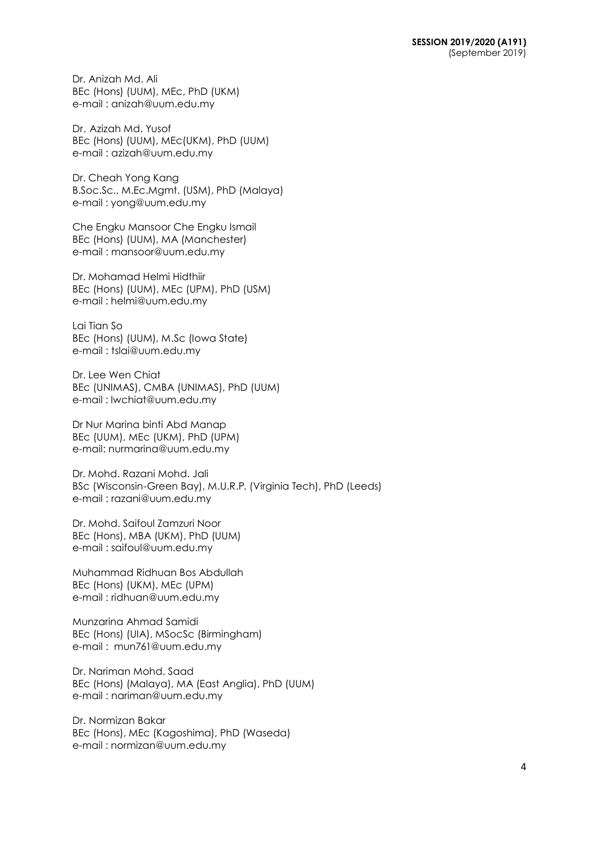Dr. Anizah Md. Ali BEc (Hons) (UUM), MEc, PhD (UKM) e-mail : [anizah@uum.edu.my](mailto:anizah@uum.edu.my)

Dr. Azizah Md. Yusof BEc (Hons) (UUM), MEc(UKM), PhD (UUM) e-mail : [azizah@uum.edu.my](mailto:azizah@uum.edu.my)

Dr. Cheah Yong Kang B.Soc.Sc., M.Ec.Mgmt. (USM), PhD (Malaya) e-mail : [yong@uum.edu.my](mailto:yong@uum.edu.my)

Che Engku Mansoor Che Engku Ismail BEc (Hons) (UUM), MA (Manchester) e-mail : [mansoor@uum.edu.my](mailto:mansoor@uum.edu.my)

Dr. Mohamad Helmi Hidthiir BEc (Hons) (UUM), MEc (UPM), PhD (USM) e-mail : helmi@uum.edu.my

Lai Tian So BEc (Hons) (UUM), M.Sc (Iowa State) e-mail : [tslai@uum.edu.my](mailto:tslai@uum.edu.my)

Dr. Lee Wen Chiat BEc (UNIMAS), CMBA (UNIMAS), PhD (UUM) e-mail : lwchiat@uum.edu.my

Dr Nur Marina binti Abd Manap BEc (UUM), MEc (UKM), PhD (UPM) e-mail: nu[rmarina@uum.edu.my](mailto:marina@uum.edu.my)

Dr. Mohd. Razani Mohd. Jali BSc (Wisconsin-Green Bay), M.U.R.P. (Virginia Tech), PhD (Leeds) e-mail : [razani@uum.edu.my](mailto:razani@uum.edu.my)

Dr. Mohd. Saifoul Zamzuri Noor BEc (Hons), MBA (UKM), PhD (UUM) e-mail : [saifoul@uum.edu.my](mailto:saifoul@uum.edu.my)

Muhammad Ridhuan Bos Abdullah BEc (Hons) (UKM), MEc (UPM) e-mail : [ridhuan@uum.edu.my](mailto:ridhuan@uum.edu.my)

Munzarina Ahmad Samidi BEc (Hons) (UIA), MSocSc (Birmingham) e-mail : [mun761@uum.edu.my](mailto:mun761@uum.edu.my)

Dr. Nariman Mohd. Saad BEc (Hons) (Malaya), MA (East Anglia), PhD (UUM) e-mail : [nariman@uum.edu.my](mailto:nariman@uum.edu.my)

Dr. Normizan Bakar BEc (Hons), MEc (Kagoshima), PhD (Waseda) e-mail : [normizan@uum.edu.my](mailto:normizan@uum.edu.my)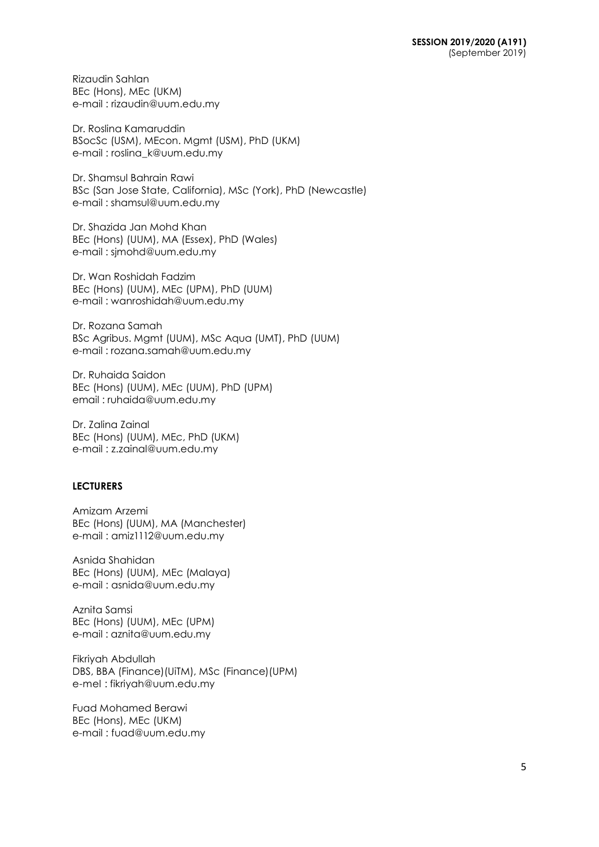Rizaudin Sahlan BEc (Hons), MEc (UKM) e-mail : [rizaudin@uum.edu.my](mailto:rizaudin@uum.edu.my)

Dr. Roslina Kamaruddin BSocSc (USM), MEcon. Mgmt (USM), PhD (UKM) e-mail : [roslina\\_k@uum.edu.my](mailto:roslina_k@uum.edu.my)

Dr. Shamsul Bahrain Rawi BSc (San Jose State, California), MSc (York), PhD (Newcastle) e-mail : [shamsul@uum.edu.my](mailto:shamsul@uum.edu.my)

Dr. Shazida Jan Mohd Khan BEc (Hons) (UUM), MA (Essex), PhD (Wales) e-mail : sjmohd@uum.edu.my

Dr. Wan Roshidah Fadzim BEc (Hons) (UUM), MEc (UPM), PhD (UUM) e-mail : [wanroshidah@uum.edu.my](mailto:wanroshidah@uum.edu.my)

Dr. Rozana Samah BSc Agribus. Mgmt (UUM), MSc Aqua (UMT), PhD (UUM) e-mail : rozana.samah@uum.edu.my

Dr. Ruhaida Saidon BEc (Hons) (UUM), MEc (UUM), PhD (UPM) email : ruhaida@uum.edu.my

Dr. Zalina Zainal BEc (Hons) (UUM), MEc, PhD (UKM) e-mail : [z.zainal@uum.edu.my](mailto:z.zainal@uum.edu.my)

## **LECTURERS**

Amizam Arzemi BEc (Hons) (UUM), MA (Manchester) e-mail : [amiz1112@uum.edu.my](mailto:amiz1112@uum.edu.my)

Asnida Shahidan BEc (Hons) (UUM), MEc (Malaya) e-mail : [asnida@uum.edu.my](mailto:asnida@uum.edu.my)

Aznita Samsi BEc (Hons) (UUM), MEc (UPM) e-mail : [aznita@uum.edu.my](mailto:aznita@uum.edu.my)

Fikriyah Abdullah DBS, BBA (Finance)(UiTM), MSc (Finance)(UPM) e-mel : [fikriyah@uum.edu.my](mailto:fikriyah@uum.edu.my)

Fuad Mohamed Berawi BEc (Hons), MEc (UKM) e-mail : [fuad@uum.edu.my](mailto:fuad@uum.edu.my)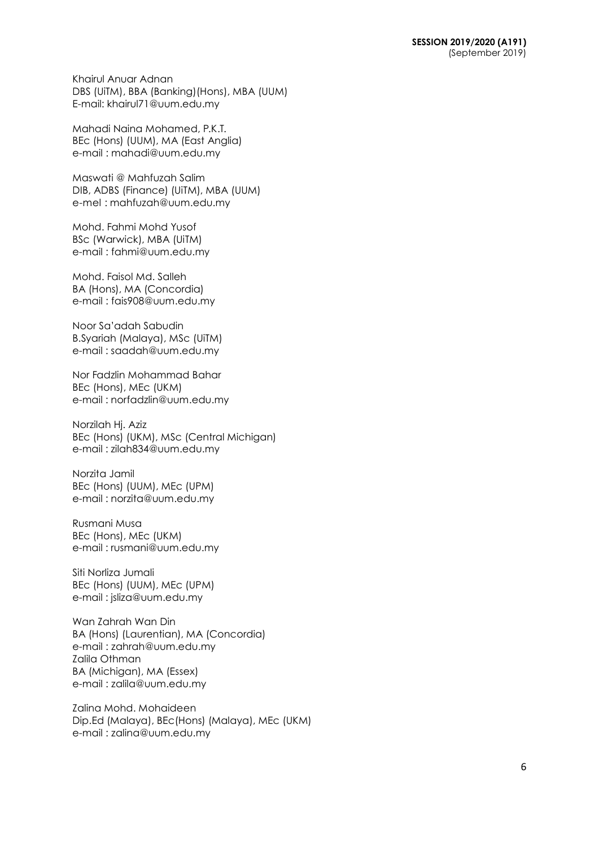Khairul Anuar Adnan DBS (UiTM), BBA (Banking)(Hons), MBA (UUM) E-mail: khairul71@uum.edu.my

Mahadi Naina Mohamed, P.K.T. BEc (Hons) (UUM), MA (East Anglia) e-mail : [mahadi@uum.edu.my](mailto:mahadi@uum.edu.my)

Maswati @ Mahfuzah Salim DIB, ADBS (Finance) (UiTM), MBA (UUM) e-mel : [mahfuzah@uum.edu.my](mailto:mahfuzah@uum.edu.my)

Mohd. Fahmi Mohd Yusof BSc (Warwick), MBA (UiTM) e-mail : [fahmi@uum.edu.my](mailto:fahmi@uum.edu.my)

Mohd. Faisol Md. Salleh BA (Hons), MA (Concordia) e-mail : [fais908@uum.edu.my](mailto:fais908@uum.edu.my)

Noor Sa'adah Sabudin B.Syariah (Malaya), MSc (UiTM) e-mail : [saadah@uum.edu.my](mailto:saadah@uum.edu.my)

Nor Fadzlin Mohammad Bahar BEc (Hons), MEc (UKM) e-mail : [norfadzlin@uum.edu.my](mailto:norfadzlin@uum.edu.my)

Norzilah Hj. Aziz BEc (Hons) (UKM), MSc (Central Michigan) e-mail : [zilah834@uum.edu.my](mailto:zilah834@uum.edu.my)

Norzita Jamil BEc (Hons) (UUM), MEc (UPM) e-mail : [norzita@uum.edu.my](mailto:norzita@uum.edu.my)

Rusmani Musa BEc (Hons), MEc (UKM) e-mail : [rusmani@uum.edu.my](mailto:rusmani@uum.edu.my)

Siti Norliza Jumali BEc (Hons) (UUM), MEc (UPM) e-mail : [jsliza@uum.edu.my](mailto:jsliza@uum.edu.my)

Wan Zahrah Wan Din BA (Hons) (Laurentian), MA (Concordia) e-mail : [zahrah@uum.edu.my](mailto:zahrah@uum.edu.my) Zalila Othman BA (Michigan), MA (Essex) e-mail : [zalila@uum.edu.my](mailto:zalila@uum.edu.my)

Zalina Mohd. Mohaideen Dip.Ed (Malaya), BEc(Hons) (Malaya), MEc (UKM) e-mail : [zalina@uum.edu.my](mailto:zalina@uum.edu.my)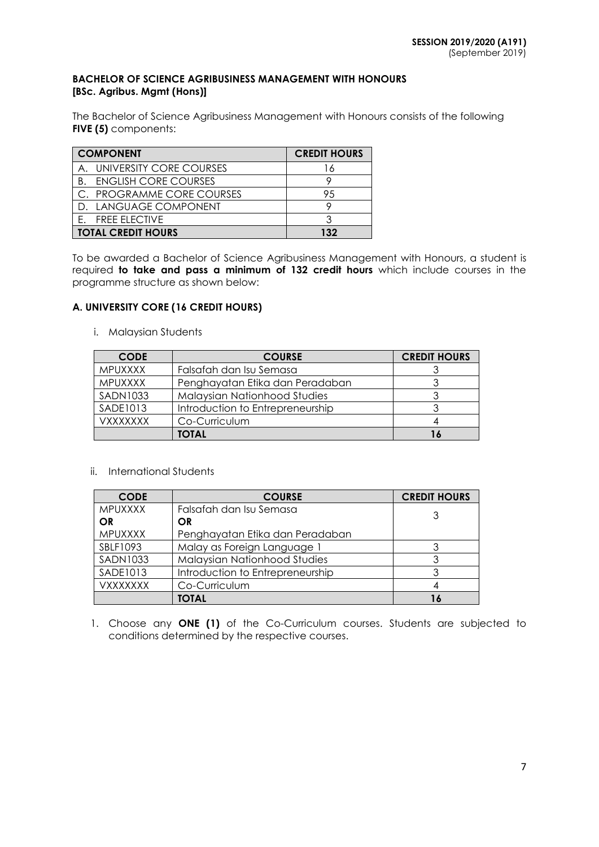#### **BACHELOR OF SCIENCE AGRIBUSINESS MANAGEMENT WITH HONOURS [BSc. Agribus. Mgmt (Hons)]**

The Bachelor of Science Agribusiness Management with Honours consists of the following **FIVE (5)** components:

| <b>COMPONENT</b>                  | <b>CREDIT HOURS</b> |
|-----------------------------------|---------------------|
| A. UNIVERSITY CORE COURSES        |                     |
| <b>ENGLISH CORE COURSES</b><br>Β. |                     |
| C. PROGRAMME CORE COURSES         | 95                  |
| D. LANGUAGE COMPONENT             |                     |
| <b>FREE ELECTIVE</b>              |                     |
| <b>TOTAL CREDIT HOURS</b>         | 132                 |

To be awarded a Bachelor of Science Agribusiness Management with Honours, a student is required **to take and pass a minimum of 132 credit hours** which include courses in the programme structure as shown below:

## **A. UNIVERSITY CORE (16 CREDIT HOURS)**

i. Malaysian Students

| <b>CODE</b>     | <b>COURSE</b>                       | <b>CREDIT HOURS</b> |
|-----------------|-------------------------------------|---------------------|
| <b>MPUXXXX</b>  | Falsafah dan Isu Semasa             |                     |
| <b>MPUXXXX</b>  | Penghayatan Etika dan Peradaban     |                     |
| <b>SADN1033</b> | <b>Malaysian Nationhood Studies</b> |                     |
| SADE1013        | Introduction to Entrepreneurship    |                     |
| <b>VXXXXXXX</b> | Co-Curriculum                       |                     |
|                 | TOTAL                               |                     |

## ii. International Students

| <b>CODE</b>     | <b>COURSE</b>                    | <b>CREDIT HOURS</b> |
|-----------------|----------------------------------|---------------------|
| <b>MPUXXXX</b>  | Falsafah dan Isu Semasa          | 3                   |
| OR              | <b>OR</b>                        |                     |
| MPUXXXX         | Penghayatan Etika dan Peradaban  |                     |
| SBLF1093        | Malay as Foreign Language 1      |                     |
| <b>SADN1033</b> | Malaysian Nationhood Studies     | 3                   |
| SADE1013        | Introduction to Entrepreneurship | 3                   |
| <b>VXXXXXXX</b> | Co-Curriculum                    |                     |
|                 | <b>TOTAL</b>                     |                     |

1. Choose any **ONE (1)** of the Co-Curriculum courses. Students are subjected to conditions determined by the respective courses.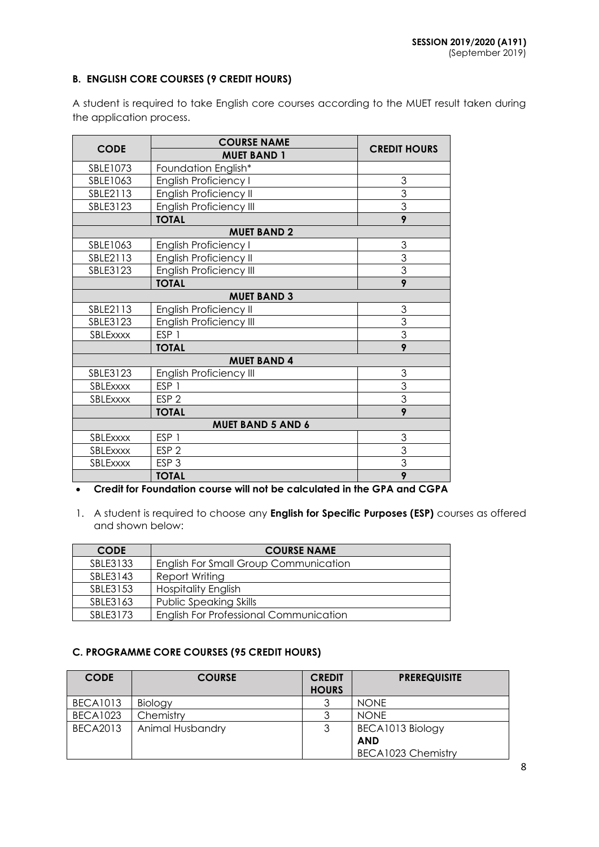## **B. ENGLISH CORE COURSES (9 CREDIT HOURS)**

A student is required to take English core courses according to the MUET result taken during the application process.

|                          | <b>COURSE NAME</b>             |                     |  |  |  |
|--------------------------|--------------------------------|---------------------|--|--|--|
| <b>CODE</b>              | <b>MUET BAND 1</b>             | <b>CREDIT HOURS</b> |  |  |  |
| SBLE1073                 | Foundation English*            |                     |  |  |  |
| SBLE1063                 | English Proficiency I          | 3                   |  |  |  |
| SBLE2113                 | English Proficiency II         | $\overline{3}$      |  |  |  |
| SBLE3123                 | <b>English Proficiency III</b> | $\overline{3}$      |  |  |  |
|                          | <b>TOTAL</b>                   | 9                   |  |  |  |
|                          | <b>MUET BAND 2</b>             |                     |  |  |  |
| SBLE1063                 | English Proficiency I          | 3                   |  |  |  |
| SBLE2113                 | English Proficiency II         | 3                   |  |  |  |
| SBLE3123                 | <b>English Proficiency III</b> | $\overline{3}$      |  |  |  |
|                          | <b>TOTAL</b>                   | $\overline{9}$      |  |  |  |
|                          | <b>MUET BAND 3</b>             |                     |  |  |  |
| SBLE2113                 | English Proficiency II         | 3                   |  |  |  |
| SBLE3123                 | English Proficiency III        | $\overline{3}$      |  |  |  |
| SBLExxxx                 | ESP <sub>1</sub>               | $\overline{3}$      |  |  |  |
|                          | <b>TOTAL</b>                   | $\overline{9}$      |  |  |  |
|                          | <b>MUET BAND 4</b>             |                     |  |  |  |
| SBLE3123                 | English Proficiency III        | 3                   |  |  |  |
| SBLExxxx                 | ESP <sub>1</sub>               | 3                   |  |  |  |
| SBLExxxx                 | ESP <sub>2</sub>               | $\overline{3}$      |  |  |  |
|                          | <b>TOTAL</b>                   | 9                   |  |  |  |
| <b>MUET BAND 5 AND 6</b> |                                |                     |  |  |  |
| SBLExxxx                 | ESP <sub>1</sub>               | 3                   |  |  |  |
| SBLExxxx                 | ESP <sub>2</sub>               | $\overline{3}$      |  |  |  |
| SBLExxxx                 | ESP <sub>3</sub>               | $\overline{3}$      |  |  |  |
|                          | <b>TOTAL</b>                   | $\overline{9}$      |  |  |  |

# **Credit for Foundation course will not be calculated in the GPA and CGPA**

1. A student is required to choose any **English for Specific Purposes (ESP)** courses as offered and shown below:

| <b>CODE</b> | <b>COURSE NAME</b>                            |
|-------------|-----------------------------------------------|
| SBLE3133    | English For Small Group Communication         |
| SBLE3143    | Report Writing                                |
| SBLE3153    | <b>Hospitality English</b>                    |
| SBLE3163    | <b>Public Speaking Skills</b>                 |
| SBI F3173   | <b>English For Professional Communication</b> |

## **C. PROGRAMME CORE COURSES (95 CREDIT HOURS)**

| <b>CODE</b>     | <b>COURSE</b>           | <b>CREDIT</b> | <b>PREREQUISITE</b> |
|-----------------|-------------------------|---------------|---------------------|
|                 |                         | <b>HOURS</b>  |                     |
| <b>BECA1013</b> | Biology                 |               | <b>NONE</b>         |
| <b>BECA1023</b> | Chemistry               |               | <b>NONE</b>         |
| <b>BECA2013</b> | <b>Animal Husbandry</b> |               | BECA1013 Biology    |
|                 |                         |               | <b>AND</b>          |
|                 |                         |               | BECA1023 Chemistry  |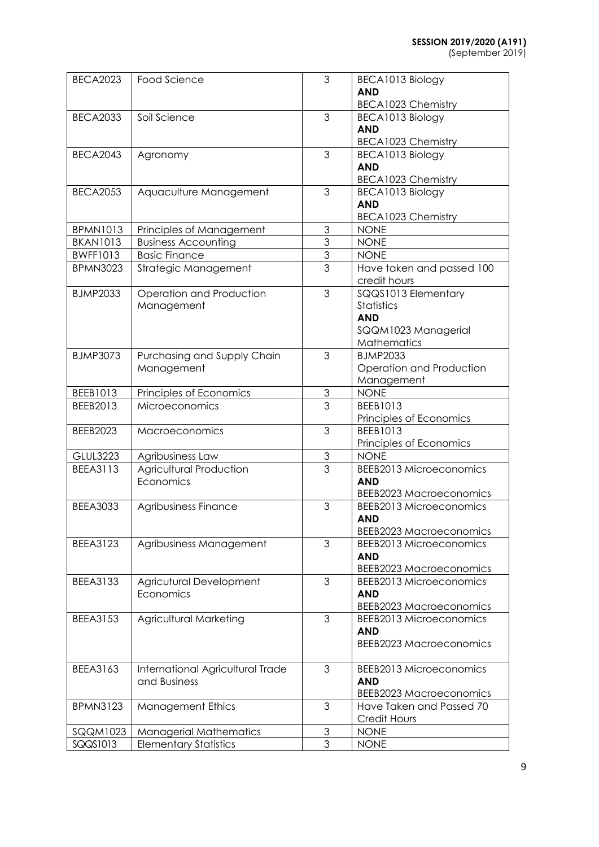(September 2019)

| <b>BECA2023</b> | <b>Food Science</b>              | 3              | BECA1013 Biology                         |
|-----------------|----------------------------------|----------------|------------------------------------------|
|                 |                                  |                | <b>AND</b>                               |
|                 |                                  |                | <b>BECA1023 Chemistry</b>                |
| <b>BECA2033</b> | Soil Science                     | $\mathfrak{Z}$ | BECA1013 Biology                         |
|                 |                                  |                | <b>AND</b>                               |
|                 |                                  |                | <b>BECA1023 Chemistry</b>                |
| <b>BECA2043</b> | Agronomy                         | 3              | BECA1013 Biology                         |
|                 |                                  |                | <b>AND</b>                               |
|                 |                                  |                | <b>BECA1023 Chemistry</b>                |
| <b>BECA2053</b> | Aquaculture Management           | 3              | BECA1013 Biology                         |
|                 |                                  |                | <b>AND</b>                               |
|                 |                                  |                |                                          |
| <b>BPMN1013</b> |                                  | $\mathfrak{S}$ | <b>BECA1023 Chemistry</b><br><b>NONE</b> |
|                 | Principles of Management         | 3              |                                          |
| <b>BKAN1013</b> | <b>Business Accounting</b>       |                | <b>NONE</b>                              |
| <b>BWFF1013</b> | <b>Basic Finance</b>             | $\overline{3}$ | <b>NONE</b>                              |
| <b>BPMN3023</b> | Strategic Management             | $\overline{3}$ | Have taken and passed 100                |
|                 |                                  |                | credit hours                             |
| <b>BJMP2033</b> | Operation and Production         | 3              | SQQS1013 Elementary                      |
|                 | Management                       |                | Statistics                               |
|                 |                                  |                | <b>AND</b>                               |
|                 |                                  |                | SQQM1023 Managerial                      |
|                 |                                  |                | Mathematics                              |
| <b>BJMP3073</b> | Purchasing and Supply Chain      | 3              | <b>BJMP2033</b>                          |
|                 | Management                       |                | Operation and Production                 |
|                 |                                  |                | Management                               |
| BEEB1013        | Principles of Economics          | $\mathfrak 3$  | <b>NONE</b>                              |
| BEEB2013        | Microeconomics                   | 3              | BEEB1013                                 |
|                 |                                  |                | Principles of Economics                  |
| <b>BEEB2023</b> | <b>Macroeconomics</b>            | 3              | BEEB1013                                 |
|                 |                                  |                | Principles of Economics                  |
| <b>GLUL3223</b> | Agribusiness Law                 | $\mathfrak{Z}$ | <b>NONE</b>                              |
| <b>BEEA3113</b> | Agricultural Production          | 3              | <b>BEEB2013 Microeconomics</b>           |
|                 | Economics                        |                | <b>AND</b>                               |
|                 |                                  |                | <b>BEEB2023 Macroeconomics</b>           |
| <b>BEEA3033</b> | Agribusiness Finance             | 3              | <b>BEEB2013 Microeconomics</b>           |
|                 |                                  |                | <b>AND</b>                               |
|                 |                                  |                | <b>BEEB2023 Macroeconomics</b>           |
| <b>BEEA3123</b> | Agribusiness Management          | 3              | <b>BEEB2013 Microeconomics</b>           |
|                 |                                  |                | <b>AND</b>                               |
|                 |                                  |                | <b>BEEB2023 Macroeconomics</b>           |
| <b>BEEA3133</b> | Agricutural Development          | 3              | <b>BEEB2013 Microeconomics</b>           |
|                 | Economics                        |                | <b>AND</b>                               |
|                 |                                  |                |                                          |
|                 |                                  |                | <b>BEEB2023 Macroeconomics</b>           |
| <b>BEEA3153</b> | <b>Agricultural Marketing</b>    | 3              | <b>BEEB2013 Microeconomics</b>           |
|                 |                                  |                | <b>AND</b>                               |
|                 |                                  |                | <b>BEEB2023 Macroeconomics</b>           |
|                 |                                  |                |                                          |
| BEEA3163        | International Agricultural Trade | 3              | <b>BEEB2013 Microeconomics</b>           |
|                 | and Business                     |                | <b>AND</b>                               |
|                 |                                  |                | <b>BEEB2023 Macroeconomics</b>           |
| <b>BPMN3123</b> | <b>Management Ethics</b>         | 3              | Have Taken and Passed 70                 |
|                 |                                  |                | Credit Hours                             |
| SQQM1023        | <b>Managerial Mathematics</b>    | 3              | <b>NONE</b>                              |
| SQQS1013        | <b>Elementary Statistics</b>     | 3              | <b>NONE</b>                              |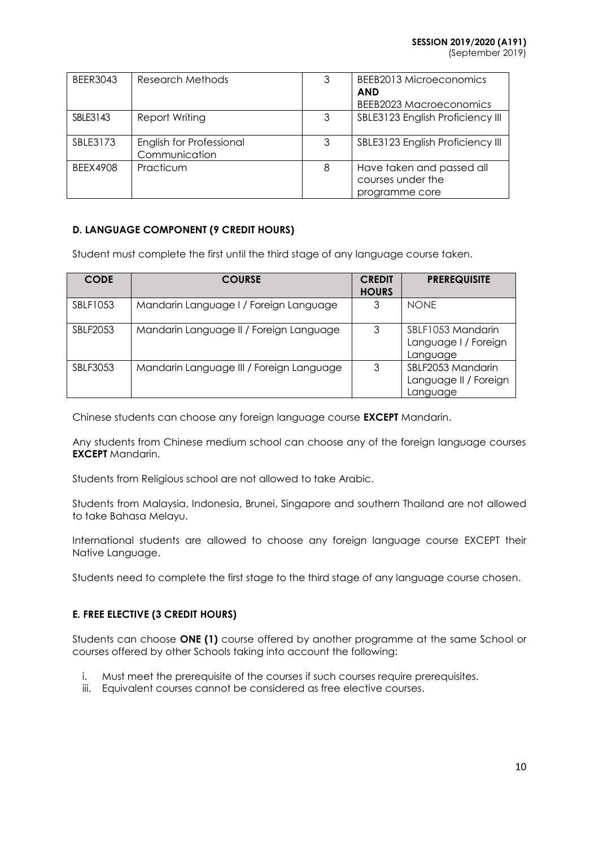(September 2019)

| <b>BEER3043</b> | Research Methods                          | 3 | BEEB2013 Microeconomics<br><b>AND</b><br>BEEB2023 Macroeconomics |
|-----------------|-------------------------------------------|---|------------------------------------------------------------------|
| SBLE3143        | Report Writing                            | 3 | SBLE3123 English Proficiency III                                 |
| SBLE3173        | English for Professional<br>Communication | 3 | SBLE3123 English Proficiency III                                 |
| BFFX4908        | Practicum                                 | 8 | Have taken and passed all<br>courses under the<br>programme core |

## **D. LANGUAGE COMPONENT (9 CREDIT HOURS)**

Student must complete the first until the third stage of any language course taken.

| <b>CODE</b> | <b>COURSE</b>                            | <b>CREDIT</b><br><b>HOURS</b> | <b>PREREQUISITE</b>                                    |
|-------------|------------------------------------------|-------------------------------|--------------------------------------------------------|
| SBLF1053    | Mandarin Language I / Foreign Language   | 3                             | <b>NONE</b>                                            |
| SBLF2053    | Mandarin Language II / Foreign Language  | 3                             | SBLF1053 Mandarin<br>Language I / Foreign<br>Language  |
| SBLF3053    | Mandarin Language III / Foreign Language | 3                             | SBLF2053 Mandarin<br>Language II / Foreign<br>Language |

Chinese students can choose any foreign language course **EXCEPT** Mandarin.

Any students from Chinese medium school can choose any of the foreign language courses **EXCEPT** Mandarin.

Students from Religious school are not allowed to take Arabic.

Students from Malaysia, Indonesia, Brunei, Singapore and southern Thailand are not allowed to take Bahasa Melayu.

International students are allowed to choose any foreign language course EXCEPT their Native Language.

Students need to complete the first stage to the third stage of any language course chosen.

## **E. FREE ELECTIVE (3 CREDIT HOURS)**

Students can choose **ONE (1)** course offered by another programme at the same School or courses offered by other Schools taking into account the following:

- i. Must meet the prerequisite of the courses if such courses require prerequisites.
- iii. Equivalent courses cannot be considered as free elective courses.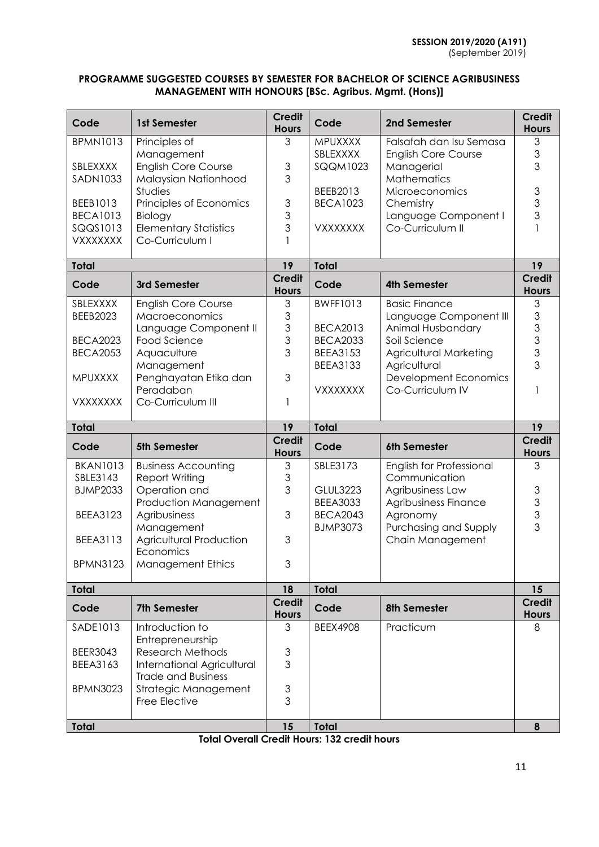## **PROGRAMME SUGGESTED COURSES BY SEMESTER FOR BACHELOR OF SCIENCE AGRIBUSINESS MANAGEMENT WITH HONOURS [BSc. Agribus. Mgmt. (Hons)]**

| Code                 | 1st Semester                                       | <b>Credit</b><br><b>Hours</b>  | Code                               | 2nd Semester                              | <b>Credit</b><br><b>Hours</b>              |
|----------------------|----------------------------------------------------|--------------------------------|------------------------------------|-------------------------------------------|--------------------------------------------|
| <b>BPMN1013</b>      | Principles of                                      | 3                              | MPUXXXX                            | Falsafah dan Isu Semasa                   | 3                                          |
|                      | Management                                         |                                | SBLEXXXX                           | <b>English Core Course</b>                | 3                                          |
| SBLEXXXX<br>SADN1033 | <b>English Core Course</b><br>Malaysian Nationhood | $\mathfrak 3$<br>3             | <b>SQQM1023</b>                    | Managerial<br>Mathematics                 | 3                                          |
|                      | Studies                                            |                                | BEEB2013                           | Microeconomics                            | 3                                          |
| BEEB1013             | Principles of Economics                            | $\mathfrak 3$                  | <b>BECA1023</b>                    | Chemistry                                 | 3                                          |
| <b>BECA1013</b>      | Biology                                            | 3                              |                                    | Language Component I                      | 3                                          |
| SQQS1013             | <b>Elementary Statistics</b>                       | 3                              | <b>VXXXXXXX</b>                    | Co-Curriculum II                          |                                            |
| <b>VXXXXXXX</b>      | Co-Curriculum I                                    |                                |                                    |                                           |                                            |
| <b>Total</b>         |                                                    | 19                             | <b>Total</b>                       |                                           | 19                                         |
| Code                 | 3rd Semester                                       | <b>Credit</b><br><b>Hours</b>  | Code                               | <b>4th Semester</b>                       | <b>Credit</b><br><b>Hours</b>              |
| SBLEXXXX             | <b>English Core Course</b>                         | 3                              | <b>BWFF1013</b>                    | <b>Basic Finance</b>                      | 3                                          |
| <b>BEEB2023</b>      | Macroeconomics                                     | $\ensuremath{\mathsf{3}}$      |                                    | Language Component III                    | $\mathfrak{S}$                             |
| <b>BECA2023</b>      | Language Component II<br>Food Science              | 3<br>3                         | <b>BECA2013</b><br><b>BECA2033</b> | Animal Husbandary<br>Soil Science         | 3<br>3                                     |
| <b>BECA2053</b>      | Aquaculture                                        | 3                              | <b>BEEA3153</b>                    | Agricultural Marketing                    | 3                                          |
|                      | Management                                         |                                | <b>BEEA3133</b>                    | Agricultural                              | 3                                          |
| <b>MPUXXXX</b>       | Penghayatan Etika dan                              | 3                              |                                    | Development Economics                     |                                            |
|                      | Peradaban                                          |                                | <b>VXXXXXXX</b>                    | Co-Curriculum IV                          |                                            |
| <b>VXXXXXXX</b>      | Co-Curriculum III                                  | 1                              |                                    |                                           |                                            |
|                      |                                                    |                                |                                    |                                           |                                            |
| <b>Total</b>         |                                                    | 19                             | <b>Total</b>                       |                                           | 19                                         |
| Code                 | <b>5th Semester</b>                                | <b>Credit</b><br><b>Hours</b>  | Code                               | 6th Semester                              | <b>Credit</b><br><b>Hours</b>              |
| <b>BKAN1013</b>      | <b>Business Accounting</b>                         | 3                              | SBLE3173                           | English for Professional                  | 3                                          |
| SBLE3143             | Report Writing                                     | $\mathfrak 3$                  |                                    | Communication                             |                                            |
| <b>BJMP2033</b>      | Operation and                                      | 3                              | <b>GLUL3223</b>                    | Agribusiness Law                          |                                            |
|                      | Production Management                              |                                | <b>BEEA3033</b>                    | Agribusiness Finance                      |                                            |
| <b>BEEA3123</b>      | Agribusiness                                       | 3                              | <b>BECA2043</b>                    | Agronomy                                  | $\begin{array}{c} 3 \\ 3 \\ 3 \end{array}$ |
| <b>BEEA3113</b>      | Management<br><b>Agricultural Production</b>       | 3                              | <b>BJMP3073</b>                    | Purchasing and Supply<br>Chain Management | 3                                          |
|                      | Economics                                          |                                |                                    |                                           |                                            |
| <b>BPMN3123</b>      | <b>Management Ethics</b>                           | 3                              |                                    |                                           |                                            |
| <b>Total</b>         |                                                    | 18                             | <b>Total</b>                       |                                           | 15                                         |
| Code                 | <b>7th Semester</b>                                | <b>Credit</b><br><b>Hours</b>  | Code                               | <b>8th Semester</b>                       | <b>Credit</b><br><b>Hours</b>              |
| SADE1013             | Introduction to                                    | 3                              | <b>BEEX4908</b>                    | Practicum                                 | 8                                          |
| <b>BEER3043</b>      | Entrepreneurship<br><b>Research Methods</b>        |                                |                                    |                                           |                                            |
| BEEA3163             | <b>International Agricultural</b>                  | $\ensuremath{\mathsf{3}}$<br>3 |                                    |                                           |                                            |
|                      | <b>Trade and Business</b>                          |                                |                                    |                                           |                                            |
| <b>BPMN3023</b>      | Strategic Management                               | $\ensuremath{\mathsf{3}}$      |                                    |                                           |                                            |
|                      | Free Elective                                      | 3                              |                                    |                                           |                                            |

**Total Overall Credit Hours: 132 credit hours**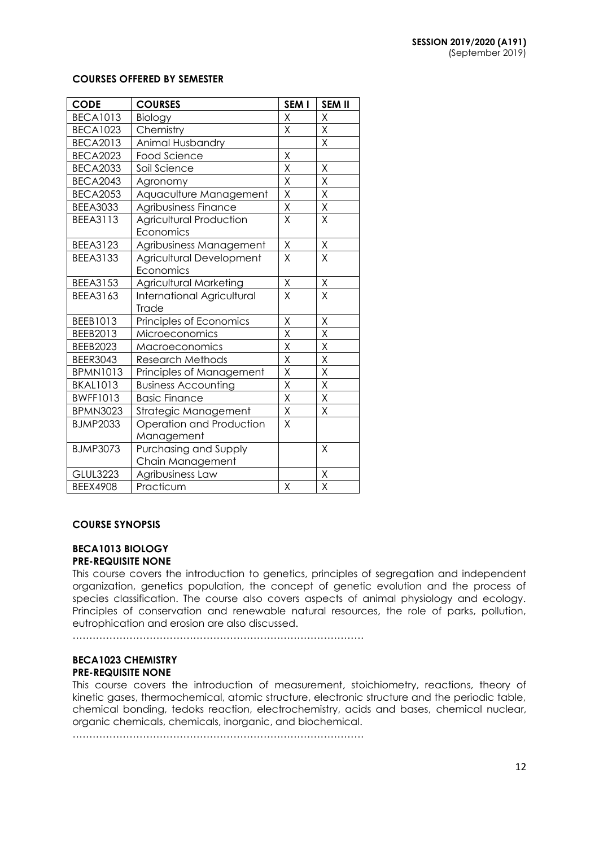#### **COURSES OFFERED BY SEMESTER**

| <b>CODE</b>     | <b>COURSES</b>                    | SEM I                   | <b>SEM II</b>           |
|-----------------|-----------------------------------|-------------------------|-------------------------|
| <b>BECA1013</b> | Biology                           | X                       | X                       |
| <b>BECA1023</b> | Chemistry                         | Χ                       | Χ                       |
| <b>BECA2013</b> | Animal Husbandry                  |                         | Χ                       |
| <b>BECA2023</b> | <b>Food Science</b>               | X                       |                         |
| <b>BECA2033</b> | Soil Science                      | X                       | Χ                       |
| <b>BECA2043</b> | Agronomy                          | X                       | Χ                       |
| <b>BECA2053</b> | Aquaculture Management            | X                       | Χ                       |
| <b>BEEA3033</b> | Agribusiness Finance              | $\sf X$                 | X                       |
| <b>BEEA3113</b> | <b>Agricultural Production</b>    | X                       | X                       |
|                 | Economics                         |                         |                         |
| BEEA3123        | Agribusiness Management           | Χ                       | Χ                       |
| <b>BEEA3133</b> | Agricultural Development          | X                       | X                       |
|                 | Economics                         |                         |                         |
| <b>BEEA3153</b> | <b>Agricultural Marketing</b>     | X                       | Χ                       |
| BEEA3163        | <b>International Agricultural</b> | X                       | X                       |
|                 | Trade                             |                         |                         |
| BEEB1013        | Principles of Economics           | Χ                       | Χ                       |
| BEEB2013        | Microeconomics                    | X                       | X                       |
| <b>BEEB2023</b> | Macroeconomics                    | $\mathsf X$             | Χ                       |
| <b>BEER3043</b> | <b>Research Methods</b>           | $\sf X$                 | X                       |
| <b>BPMN1013</b> | Principles of Management          | $\sf X$                 | $\sf X$                 |
| <b>BKAL1013</b> | <b>Business Accounting</b>        | $\sf X$                 | Χ                       |
| <b>BWFF1013</b> | <b>Basic Finance</b>              | $\overline{\mathsf{x}}$ | $\overline{\mathsf{x}}$ |
| <b>BPMN3023</b> | Strategic Management              | $\mathsf X$             | X                       |
| <b>BJMP2033</b> | Operation and Production          | X                       |                         |
|                 | Management                        |                         |                         |
| <b>BJMP3073</b> | Purchasing and Supply             |                         | X                       |
|                 | Chain Management                  |                         |                         |
| <b>GLUL3223</b> | Agribusiness Law                  |                         | $\overline{\mathsf{X}}$ |
| <b>BEEX4908</b> | Practicum                         | X                       | X                       |

#### **COURSE SYNOPSIS**

# **BECA1013 BIOLOGY**

## **PRE-REQUISITE NONE**

This course covers the introduction to genetics, principles of segregation and independent organization, genetics population, the concept of genetic evolution and the process of species classification. The course also covers aspects of animal physiology and ecology. Principles of conservation and renewable natural resources, the role of parks, pollution, eutrophication and erosion are also discussed.

……………………………………………………………………………

# **BECA1023 CHEMISTRY**

## **PRE-REQUISITE NONE**

This course covers the introduction of measurement, stoichiometry, reactions, theory of kinetic gases, thermochemical, atomic structure, electronic structure and the periodic table, chemical bonding, tedoks reaction, electrochemistry, acids and bases, chemical nuclear, organic chemicals, chemicals, inorganic, and biochemical.

……………………………………………………………………………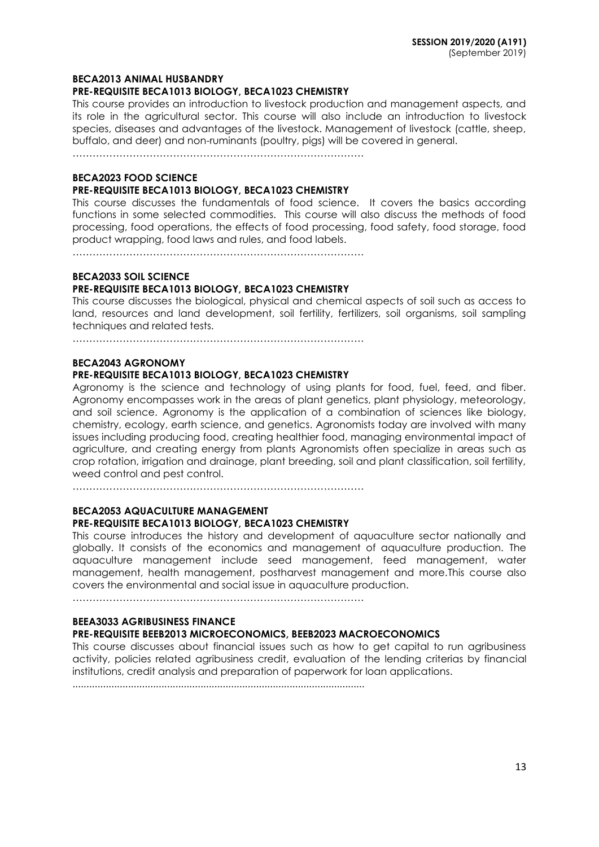## **BECA2013 ANIMAL HUSBANDRY**

#### **PRE-REQUISITE BECA1013 BIOLOGY, BECA1023 CHEMISTRY**

This course provides an introduction to livestock production and management aspects, and its role in the agricultural sector. This course will also include an introduction to livestock species, diseases and advantages of the livestock. Management of livestock (cattle, sheep, buffalo, and deer) and non-ruminants (poultry, pigs) will be covered in general.

……………………………………………………………………………

## **BECA2023 FOOD SCIENCE**

### **PRE-REQUISITE BECA1013 BIOLOGY, BECA1023 CHEMISTRY**

This course discusses the fundamentals of food science. It covers the basics according functions in some selected commodities. This course will also discuss the methods of food processing, food operations, the effects of food processing, food safety, food storage, food product wrapping, food laws and rules, and food labels.

……………………………………………………………………………

#### **BECA2033 SOIL SCIENCE**

## **PRE-REQUISITE BECA1013 BIOLOGY, BECA1023 CHEMISTRY**

This course discusses the biological, physical and chemical aspects of soil such as access to land, resources and land development, soil fertility, fertilizers, soil organisms, soil sampling techniques and related tests.

……………………………………………………………………………

#### **BECA2043 AGRONOMY**

#### **PRE-REQUISITE BECA1013 BIOLOGY, BECA1023 CHEMISTRY**

Agronomy is the science and technology of using plants for food, fuel, feed, and fiber. Agronomy encompasses work in the areas of plant genetics, plant physiology, meteorology, and soil science. Agronomy is the application of a combination of sciences like biology, chemistry, ecology, earth science, and genetics. Agronomists today are involved with many issues including producing food, creating healthier food, managing environmental impact of agriculture, and creating energy from plants Agronomists often specialize in areas such as crop rotation, irrigation and drainage, plant breeding, soil and plant classification, soil fertility, weed control and pest control.

……………………………………………………………………………

## **BECA2053 AQUACULTURE MANAGEMENT PRE-REQUISITE BECA1013 BIOLOGY, BECA1023 CHEMISTRY**

This course introduces the history and development of aquaculture sector nationally and globally. It consists of the economics and management of aquaculture production. The aquaculture management include seed management, feed management, water management, health management, postharvest management and more.This course also covers the environmental and social issue in aquaculture production.

……………………………………………………………………………

## **BEEA3033 AGRIBUSINESS FINANCE**

## **PRE-REQUISITE BEEB2013 MICROECONOMICS, BEEB2023 MACROECONOMICS**

This course discusses about financial issues such as how to get capital to run agribusiness activity, policies related agribusiness credit, evaluation of the lending criterias by financial institutions, credit analysis and preparation of paperwork for loan applications.

.........................................................................................................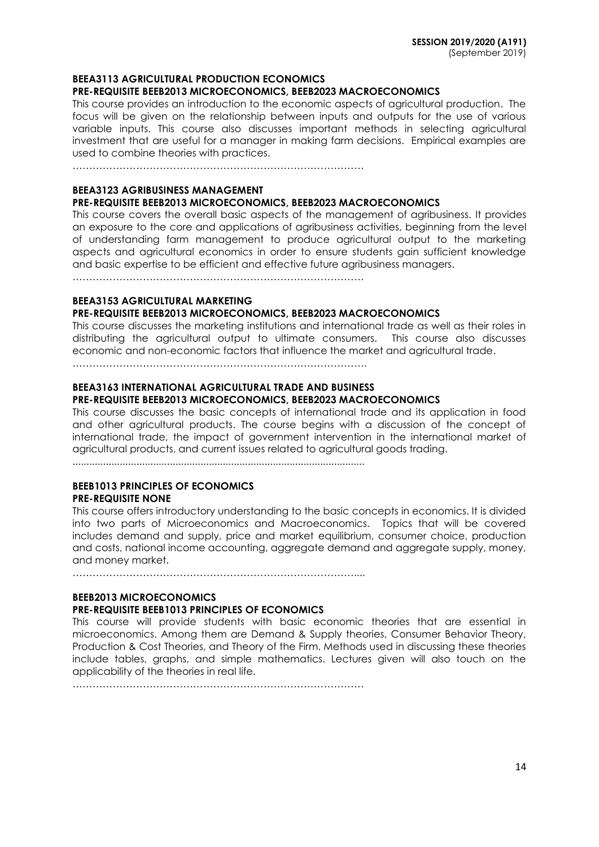#### **BEEA3113 AGRICULTURAL PRODUCTION ECONOMICS**

#### **PRE-REQUISITE BEEB2013 MICROECONOMICS, BEEB2023 MACROECONOMICS**

This course provides an introduction to the economic aspects of agricultural production. The focus will be given on the relationship between inputs and outputs for the use of various variable inputs. This course also discusses important methods in selecting agricultural investment that are useful for a manager in making farm decisions. Empirical examples are used to combine theories with practices.

……………………………………………………………………………

#### **BEEA3123 AGRIBUSINESS MANAGEMENT**

#### **PRE-REQUISITE BEEB2013 MICROECONOMICS, BEEB2023 MACROECONOMICS**

This course covers the overall basic aspects of the management of agribusiness. It provides an exposure to the core and applications of agribusiness activities, beginning from the level of understanding farm management to produce agricultural output to the marketing aspects and agricultural economics in order to ensure students gain sufficient knowledge and basic expertise to be efficient and effective future agribusiness managers.

……………………………………………………………………………

## **BEEA3153 AGRICULTURAL MARKETING**

#### **PRE-REQUISITE BEEB2013 MICROECONOMICS, BEEB2023 MACROECONOMICS**

This course discusses the marketing institutions and international trade as well as their roles in distributing the agricultural output to ultimate consumers. This course also discusses economic and non-economic factors that influence the market and agricultural trade.

…………………………………………………………………………….

#### **BEEA3163 INTERNATIONAL AGRICULTURAL TRADE AND BUSINESS PRE-REQUISITE BEEB2013 MICROECONOMICS, BEEB2023 MACROECONOMICS**

This course discusses the basic concepts of international trade and its application in food and other agricultural products. The course begins with a discussion of the concept of international trade, the impact of government intervention in the international market of agricultural products, and current issues related to agricultural goods trading.

.........................................................................................................

## **BEEB1013 PRINCIPLES OF ECONOMICS PRE-REQUISITE NONE**

This course offers introductory understanding to the basic concepts in economics. It is divided into two parts of Microeconomics and Macroeconomics. Topics that will be covered includes demand and supply, price and market equilibrium, consumer choice, production and costs, national income accounting, aggregate demand and aggregate supply, money, and money market.

…………………………………………………………………………....

## **BEEB2013 MICROECONOMICS PRE-REQUISITE BEEB1013 PRINCIPLES OF ECONOMICS**

This course will provide students with basic economic theories that are essential in microeconomics. Among them are Demand & Supply theories, Consumer Behavior Theory, Production & Cost Theories, and Theory of the Firm. Methods used in discussing these theories include tables, graphs, and simple mathematics. Lectures given will also touch on the applicability of the theories in real life.

……………………………………………………………………………